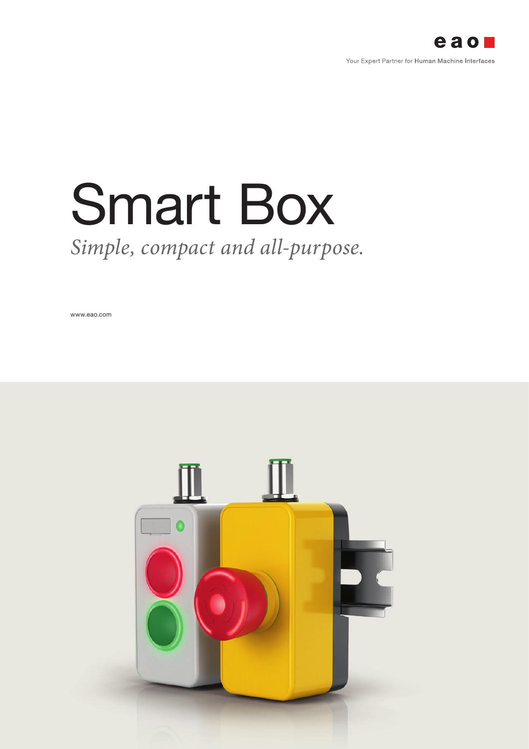

# *Simple, compact and all-purpose.* Smart Box

www.eao.com

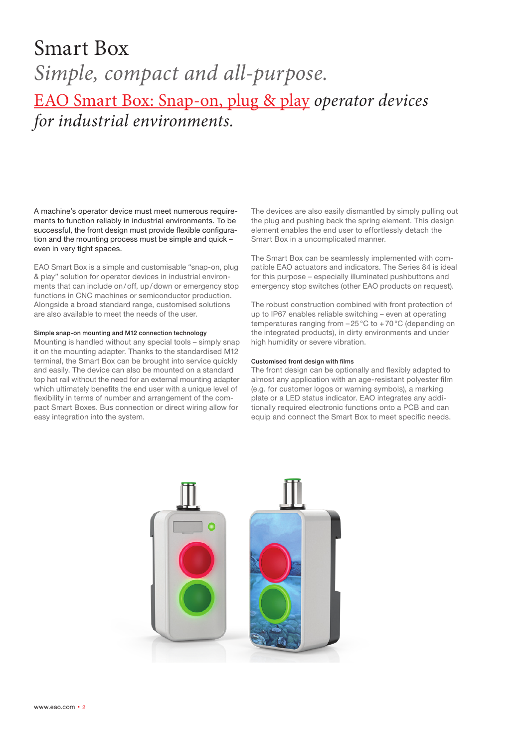### Smart Box *Simple, compact and all-purpose.* EAO Smart Box: Snap-on, plug & play *operator devices for industrial environments.*

A machine's operator device must meet numerous requirements to function reliably in industrial environments. To be successful, the front design must provide flexible configuration and the mounting process must be simple and quick – even in very tight spaces.

EAO Smart Box is a simple and customisable "snap-on, plug & play" solution for operator devices in industrial environments that can include on/off, up/down or emergency stop functions in CNC machines or semiconductor production. Alongside a broad standard range, customised solutions are also available to meet the needs of the user.

#### Simple snap-on mounting and M12 connection technology

Mounting is handled without any special tools – simply snap it on the mounting adapter. Thanks to the standardised M12 terminal, the Smart Box can be brought into service quickly and easily. The device can also be mounted on a standard top hat rail without the need for an external mounting adapter which ultimately benefits the end user with a unique level of flexibility in terms of number and arrangement of the compact Smart Boxes. Bus connection or direct wiring allow for easy integration into the system.

The devices are also easily dismantled by simply pulling out the plug and pushing back the spring element. This design element enables the end user to effortlessly detach the Smart Box in a uncomplicated manner.

The Smart Box can be seamlessly implemented with compatible EAO actuators and indicators. The Series 84 is ideal for this purpose – especially illuminated pushbuttons and emergency stop switches (other EAO products on request).

The robust construction combined with front protection of up to IP67 enables reliable switching – even at operating temperatures ranging from –25°C to +70°C (depending on the integrated products), in dirty environments and under high humidity or severe vibration.

#### Customised front design with films

The front design can be optionally and flexibly adapted to almost any application with an age-resistant polyester film (e.g. for customer logos or warning symbols), a marking plate or a LED status indicator. EAO integrates any additionally required electronic functions onto a PCB and can equip and connect the Smart Box to meet specific needs.

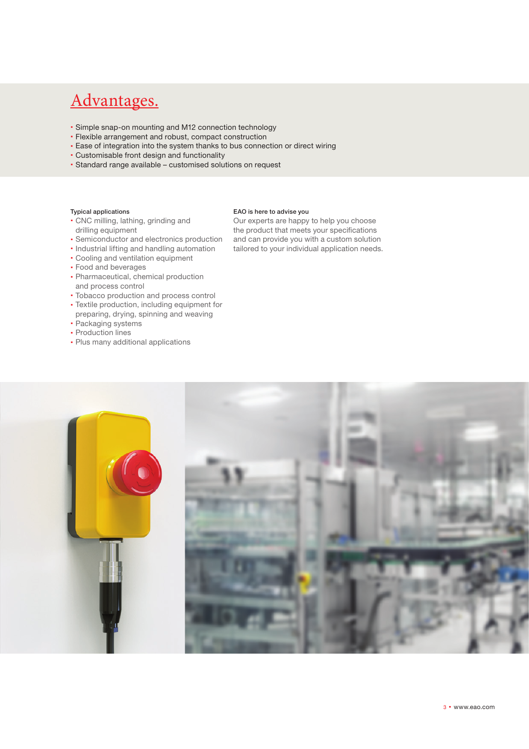### Advantages.

- Simple snap-on mounting and M12 connection technology
- Flexible arrangement and robust, compact construction
- Ease of integration into the system thanks to bus connection or direct wiring
- Customisable front design and functionality
- Standard range available customised solutions on request

#### Typical applications

- CNC milling, lathing, grinding and drilling equipment
- Semiconductor and electronics production
- Industrial lifting and handling automation
- Cooling and ventilation equipment
- Food and beverages
- Pharmaceutical, chemical production and process control
- Tobacco production and process control
- Textile production, including equipment for
- preparing, drying, spinning and weaving Packaging systems
- Production lines
- 
- Plus many additional applications

#### EAO is here to advise you

Our experts are happy to help you choose the product that meets your specifications and can provide you with a custom solution tailored to your individual application needs.

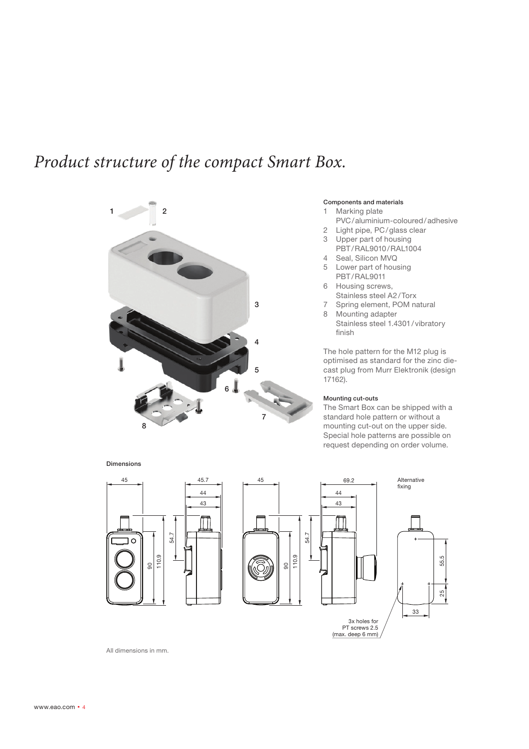### *Product structure of the compact Smart Box.*



#### Components and materials

- 1 Marking plate
- PVC/aluminium-coloured/adhesive
- 2 Light pipe, PC/glass clear
- 3 Upper part of housing
- PBT/RAL9010/RAL1004
- 4 Seal, Silicon MVQ
- 5 Lower part of housing PBT/RAL9011
- 6 Housing screws, Stainless steel A2/Torx
- 7 Spring element, POM natural
- 8 Mounting adapter Stainless steel 1.4301/ vibratory finish

The hole pattern for the M12 plug is optimised as standard for the zinc diecast plug from Murr Elektronik (design 17162).

#### Mounting cut-outs

The Smart Box can be shipped with a standard hole pattern or without a mounting cut-out on the upper side. Special hole patterns are possible on request depending on order volume.



All dimensions in mm.

Dimensions

www.eao.com  $\cdot$  4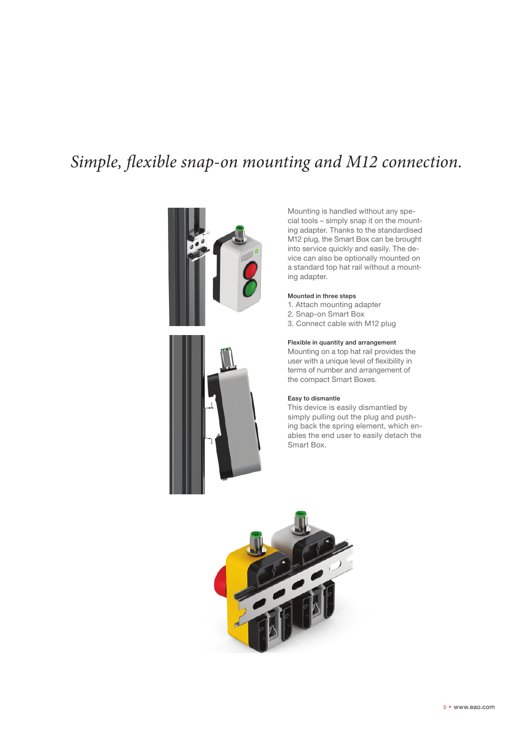### *Simple, flexible snap-on mounting and M12 connection.*





Mounting is handled without any special tools – simply snap it on the mounting adapter. Thanks to the standardised M<sub>12</sub> plug, the Smart Box can be brought into service quickly and easily. The device can also be optionally mounted on a standard top hat rail without a mounting adapter.

#### Mounted in three steps

- 1. Attach mounting adapter
- 2. Snap-on Smart Box 3. Connect cable with M12 plug
- 

#### Flexible in quantity and arrangement

Mounting on a top hat rail provides the user with a unique level of flexibility in terms of number and arrangement of the compact Smart Boxes.

#### Easy to dismantle

This device is easily dismantled by simply pulling out the plug and pushing back the spring element, which enables the end user to easily detach the Smart Box.

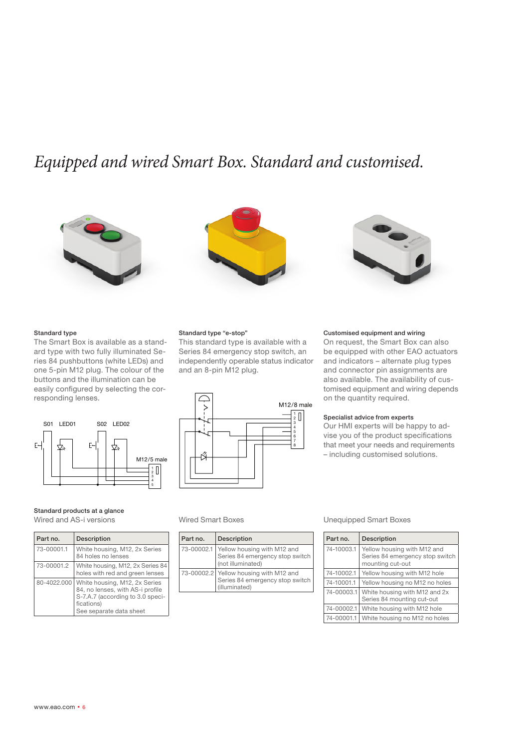### *Equipped and wired Smart Box. Standard and customised.*







#### Standard type

The Smart Box is available as a standard type with two fully illuminated Series 84 pushbuttons (white LEDs) and one 5-pin M12 plug. The colour of the buttons and the illumination can be easily configured by selecting the corresponding lenses.



#### Standard products at a glance

Wired and AS-i versions

| Part no.    | <b>Description</b>                                                                                                                             |
|-------------|------------------------------------------------------------------------------------------------------------------------------------------------|
| 73-00001.1  | White housing, M12, 2x Series<br>84 holes no lenses                                                                                            |
| 73-00001.2  | White housing, M12, 2x Series 84<br>holes with red and green lenses                                                                            |
| 80-4022.000 | White housing, M12, 2x Series<br>84, no lenses, with AS-i profile<br>S-7.A.7 (according to 3.0 speci-<br>fications)<br>See separate data sheet |

#### Standard type "e-stop"

This standard type is available with a Series 84 emergency stop switch, an independently operable status indicator and an 8-pin M12 plug.



| Part no.   | <b>Description</b>                                                                         |
|------------|--------------------------------------------------------------------------------------------|
| 73-00002.1 | Yellow housing with M12 and<br>Series 84 emergency stop switch<br>(not illuminated)        |
|            | 73-00002.2 Yellow housing with M12 and<br>Series 84 emergency stop switch<br>(illuminated) |

#### Customised equipment and wiring

On request, the Smart Box can also be equipped with other EAO actuators and indicators – alternate plug types and connector pin assignments are also available. The availability of customised equipment and wiring depends on the quantity required.

#### Specialist advice from experts

Our HMI experts will be happy to advise you of the product specifications that meet your needs and requirements – including customised solutions.

#### Wired Smart Boxes Unequipped Smart Boxes

| Part no.   | <b>Description</b>                                                                 |
|------------|------------------------------------------------------------------------------------|
| 74-10003.1 | Yellow housing with M12 and<br>Series 84 emergency stop switch<br>mounting cut-out |
| 74-10002.1 | Yellow housing with M12 hole                                                       |
| 74-10001.1 | Yellow housing no M12 no holes                                                     |
| 74-00003.1 | White housing with M12 and 2x<br>Series 84 mounting cut-out                        |
| 74-00002.1 | White housing with M12 hole                                                        |
| 74-00001.1 | White housing no M12 no holes                                                      |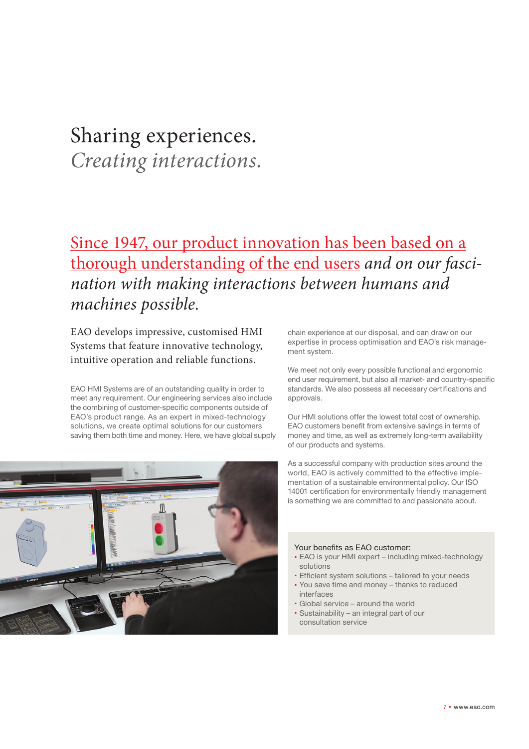### Sharing experiences.

*Creating interactions.*

### Since 1947, our product innovation has been based on a thorough understanding of the end users *and on our fascination with making interactions between humans and machines possible.*

EAO develops impressive, customised HMI Systems that feature innovative technology, intuitive operation and reliable functions.

EAO HMI Systems are of an outstanding quality in order to meet any requirement. Our engineering services also include the combining of customer-specific components outside of EAO's product range. As an expert in mixed-technology solutions, we create optimal solutions for our customers saving them both time and money. Here, we have global supply



chain experience at our disposal, and can draw on our expertise in process optimisation and EAO's risk management system.

We meet not only every possible functional and ergonomic end user requirement, but also all market- and country-specific standards. We also possess all necessary certifications and approvals.

Our HMI solutions offer the lowest total cost of ownership. EAO customers benefit from extensive savings in terms of money and time, as well as extremely long-term availability of our products and systems.

As a successful company with production sites around the world, EAO is actively committed to the effective implementation of a sustainable environmental policy. Our ISO 14001 certification for environmentally friendly management is something we are committed to and passionate about.

#### Your benefits as EAO customer:

- EAO is your HMI expert including mixed-technology solutions
- Efficient system solutions tailored to your needs
- You save time and money thanks to reduced
- interfaces Global service – around the world
- Sustainability an integral part of our
	- consultation service